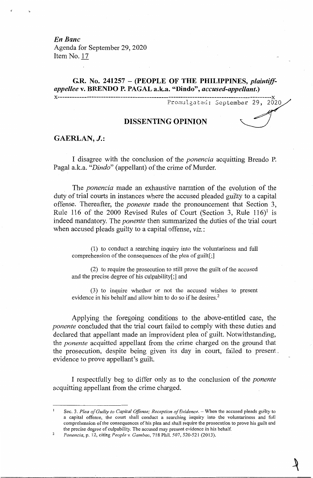*En Banc*  Agenda for September 29, 2020 Item No. 17

# **G.R. No. 241257** - **(PEOPLE OF THE PHILIPPINES,** *plaintiffappellee* **v. BRENDO P. PAGAL a.k.a. "Dindo",** *accused-appellant.)*

**x-----------------------------------------------------------------------------------------x**  Promulgated: September 29, 2020 $\,$ 

# **DISSENTING OPINION**

## **GAERLAN,** *J.:*

I disagree with the conclusion of the *ponencia* acquitting Brendo P. Pagal a.k.a. "*Dindo*" (appellant) of the crime of Murder.

, The *ponencia* made an exhaustive narration of the evolution of the duty of trial courts in instances where the accused pleaded guilty to a capital offense. Thereafter, the *ponente* made the pronouncement that Section 3, Rule 116 of the 2000 Revised Rules of Court (Section 3, Rule  $116$ <sup>1</sup> is indeed mandatory. The *ponente* then summarized the duties of the trial court when accused pleads guilty to a capital offense, *viz.:* 

(1) to conduct a searching inquiry into the voluntariness and full comprehension of the consequences of the plea of guilt[;]

(2) to require the prosecution to still prove the guilt of the accused and the precise degree of his culpability[;] and

(3) to inquire whether or not the accused wishes to present evidence in his behalf and allow him to do so if he desires.<sup>2</sup>

Applying the foregoing conditions to the above-entitled case, the *ponente* concluded that the trial court failed to comply with these duties and declared that appellant made an improvident plea of guilt. Notwithstanding, the *ponente* acquitted appellant from the crime charged on the ground that the prosecution, despite being given its day in court, failed to present . evidence to prove appellant's guilt.

I respectfully beg to differ only as to the conclusion of the *ponente*  acquitting appellant from the crime charged.

<sup>2</sup>  Sec. 3. Plea of Guilty to Capital Offense; Reception of Evidence. - When the accused pleads guilty to a capital offense, the court shall conduct a searching inquiry into the voluntariness and full comprehension of the consequences of his plea and shall require the prosecution to prove his guilt and the precise degree of culpability. The accused may present evidence in his behalf.

*Ponencia,* p. 12, citing *People v. Gambao,* 718 Phil. 507, 520-521 (2013).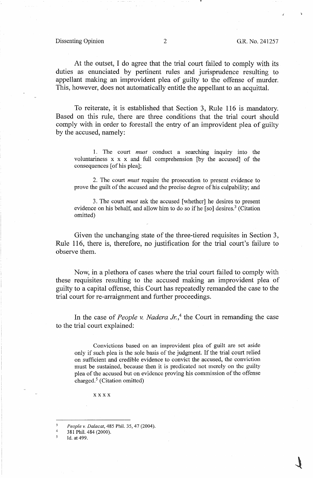Dissenting Opinion 2 G.R. No. 241257

At the outset, I do agree that the trial court failed to comply with its duties as enunciated by pertinent rules and jurisprudence resulting to appellant making an improvident plea of guilty to the offense of murder. This, however, does not automatically entitle the appellant to an acquittal.

To reiterate, it is established that Section 3, Rule 116 is mandatory. Based on this rule, there are three conditions that the trial court should comply with in order to forestall the entry of an improvident plea of guilty by the accused, namely:

1. The court *must* conduct a searching inquiry into the voluntariness x x x and full comprehension [by the accused] of the consequences [ of his plea];

2. The court *must* require the prosecution to present evidence to prove the guilt of the accused and the precise degree of his culpability; and

3. The court *must* ask the accused [whether] he desires to present evidence on his behalf, and allow him to do so if he [so] desires.<sup>3</sup> (Citation omitted)

Given the unchanging state of the three-tiered requisites in Section 3, Rule 116, there is, therefore, no justification for the trial court's failure to observe them.

Now, in a plethora of cases where the trial court failed to comply with these requisites resulting to the accused making an improvident plea of guilty to a capital offense, this Court has repeatedly remanded the case to the trial court for re-arraignment and further proceedings.

In the case of *People v. Nadera Jr.*,<sup>4</sup> the Court in remanding the case to the trial court explained:

Convictions based on an improvident plea of guilt are set aside only if such plea is the sole basis of the judgment. If the trial court relied on sufficient and credible evidence to convict the accused, the conviction must be sustained, because then it is predicated not merely on the guilty plea of the accused but on evidence proving his commission of the offense charged.<sup>5</sup> (Citation omitted)

xxxx

*People v. Dalacat,* 485 Phil. 35, 47 (2004).

4 381 Phil. 484 (2000).

5 Id. at 499.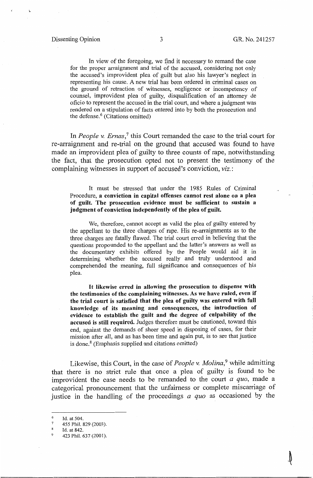\..

≬

In view of the foregoing, we find it necessary to remand the case for the proper arraignment and trial of the accused, considering not only the accused's improvident plea of guilt but also his lawyer's neglect in representing his cause. A new trial has been ordered in criminal cases on the ground of retraction of witnesses, negligence or incompetency of counsel, improvident plea of guilty, disqualification of an attorney de oficio to represent the accused in the trial court, and where a judgment was rendered on a stipulation of facts entered into by both the prosecution and the defense. $6$  (Citations omitted)

In *People v. Ernas*,<sup>7</sup> this Court remanded the case to the trial court for re-arraignment and re-trial on the ground that accused was found to have made an improvident plea of guilty to three counts of rape, notwithstanding the fact, that the prosecution opted not to present the testimony of the complaining witnesses in support of accused's conviction, *viz.:* 

It must be stressed that under the 1985 Rules of Criminal Procedure, **a conviction in capital offenses cannot rest alone on a plea of guilt. The prosecution evidence must be sufficient to sustain a judgment of conviction independently of the plea of guilt.** 

We, therefore, cannot accept as valid the plea of guilty entered by the appellant to the three charges of rape. His re-arraignments as to the three charges are fatally flawed. The trial court erred in believing that the questions propounded to the appellant and the latter's answers as well as the documentary exhibits offered by the People would aid it in determining whether the accused really and truly understood and comprehended the meaning, full significance and consequences of his plea.

It **likewise erred in allowing the prosecution to dispense with the testimonies of the complaining witnesses. As we have ruled, even if the trial court is satisfied that the plea of guilty was entered with full knowledge of its meaning and consequences, the introduction of evidence to establish the guilt and the degree of culpability of the accused is still required.** Judges therefore must be cautioned, toward this end, against the demands of sheer speed in disposing of cases, for their mission after all, and as has been time and again put, is to see that justice is done. $8$  (Emphasis supplied and citations omitted)

Likewise, this Court, in the case of *People v. Molina,9* while admitting that there is no strict rule that once a plea of guilty is found to be improvident the case needs to be remanded to the court *a quo,* made a categorical pronouncement that the unfairness or complete miscarriage of justice in the handling of the proceedings *a quo* as occasioned by the

<sup>6</sup>  Id. at 504.

<sup>7</sup>  455 Phil. 829 (2003).

Id. at 842.

<sup>423</sup> Phil. 637 (2001).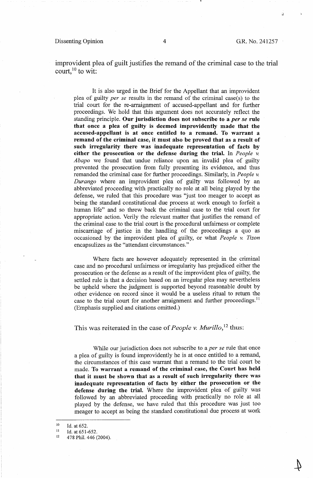#### Dissenting Opinion 4 G.R. No. 241257

.J

improvident plea of guilt justifies the remand of the criminal case to the trial court, $^{10}$  to wit:

It is also urged in the Brief for the Appellant that an improvident plea of guilty *per se* results in the remand of the criminal case(s) to the trial court for the re-arraignment of accused-appellant and for further proceedings. We hold that this argument does not accurately reflect the standing principle. **Our jurisdiction does not subscribe to a** *per se* **rule that once a plea of guilty is deemed improvidently made that the accused-appellant is at once entitled to a remand. To warrant a remand of the criminal case, it must also be proved that as a result of such irregularity there was inadequate representation of facts by either the prosecution or the defense during the trial.** In *People v. Abapo* we found that undue reliance upon an invalid plea of guilty prevented the prosecution from fully presenting its evidence, and thus remanded the criminal case for further proceedings. Similarly, in *People v. Durango* where an improvident plea of guilty was followed by an abbreviated proceeding with practically no role at all being played by the defense, we ruled that this procedure was "just too meager to accept as being the standard constitutional due process at work enough to forfeit a human life" and so threw back the criminal case to the trial court for appropriate action. Verily the relevant matter that justifies the remand of the criminal case to the trial court is the procedural unfairness or complete miscarriage of justice in the handling of the proceedings a quo as occasioned by the improvident plea of guilty, or what *People* v. *Tizon*  encapsulizes as the "attendant circumstances."

Where facts are however adequately represented in the criminal case and no procedural unfairness or irregularity has prejudiced either the prosecution or the defense as a result of the improvident plea of guilty, the settled rule is that a decision based on an irregular plea may nevertheless be upheld where the judgment is supported beyond reasonable doubt by other evidence on record since it would be a useless ritual to return the case to the trial court for another arraignment and further proceedings.<sup>11</sup> (Emphasis supplied and citations omitted.)

This was reiterated in the case of *People v. Murillo*,<sup>12</sup> thus:

While our jurisdiction does not subscribe to a *per se* rule that once a plea of guilty is found improvidently he is at once entitled to a remand, the circumstances of this case warrant that a remand to the trial court be made. **To warrant a remand of the criminal case, the Court has held that it must be shown that as a result of such irregularity there was inadequate representation \_of facts by either the prosecution or the defense during the trial.** Where the improvident plea of guilty was followed by an abbreviated proceeding with practically no role at all played by the defense, we have ruled that this procedure was just too meager to accept as being the standard constitutional due process at work

II Id. at 651-652.

<sup>10</sup>  Id. at 652.

<sup>12</sup>  478 Phil. 446 (2004).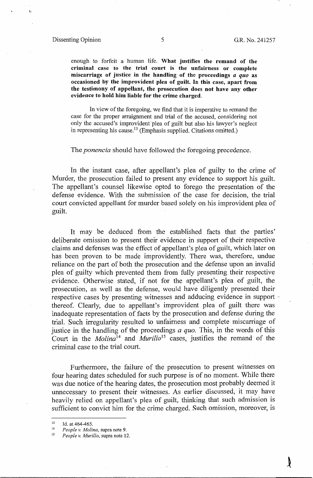### Dissenting Opinion 5 5 G.R. No. 241257

enough to forfeit a human life. **What justifies the remand of the criminal case to the trial court is the unfairness or complete miscarriage of justice in the handling of the proceedings** *a quo* **as occasioned by the improvident plea of guilt.** In **this case, apart from the testimony of appellant, the prosecution does not have any other evidence to hold him liable for the crime charged.** 

In view of the foregoing, we find that it is imperative to remand the case for the proper arraignment and trial of the accused, considering not only the accused's improvident plea of guilt but also his lawyer's neglect in representing his cause.<sup>13</sup> (Emphasis supplied. Citations omitted.)

#### The *ponencia* should have followed the foregoing precedence.

In the instant case, after appellant's plea of guilty to the crime of Murder, the prosecution failed to present any evidence to support his guilt. The appellant's counsel likewise opted to forego the presentation of the defense evidence. With the submission of the case for decision, the trial court convicted appellant for murder based solely on his improvident plea of guilt.

It may be deduced from the established facts that the parties' deliberate omission to present their evidence in support of their respective claims and defenses was the effect of appellant's plea of guilt, which later on has been proven to be made improvidently. There was, therefore, undue reliance on the part of both the prosecution and the defense upon an invalid plea of guilty which prevented them from fully presenting their respective evidence. Otherwise stated, if not for the appellant's plea of guilt, the prosecution, as well as the defense, would have diligently presented their respective cases by presenting witnesses and adducing evidence in support thereof. Clearly, due to appellant's improvident plea of guilt there was inadequate representation of facts by the prosecution and defense during the trial. Such irregularity resulted to unfairness and complete miscarriage of justice in the handling of the proceedings *a quo.* This, in the words of this Court in the *Molina*<sup>14</sup> and *Murillo*<sup>15</sup> cases, justifies the remand of the criminal case to the trial court.

Furthermore, the failure of the prosecution to present witnesses on four hearing dates scheduled for such purpose is of no moment. While there was due notice of the hearing dates, the prosecution most probably deemed it unnecessary to present their witnesses. As earlier discussed, it may have heavily relied on appellant's plea of guilt, thinking that such admission is sufficient to convict him for the crime charged. Such omission, moreover, is

<sup>&</sup>lt;sup>13</sup> Id. at  $464-465$ .

<sup>14</sup> *People v. Molina,* supra note 9.

<sup>15</sup> *People v. Murillo,* supra note 12.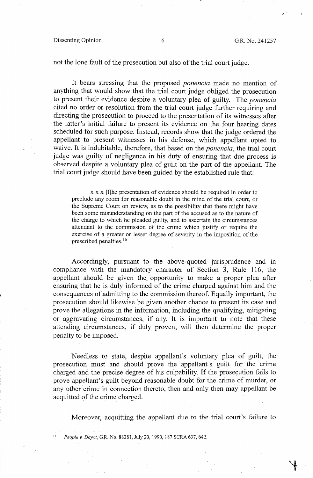#### Dissenting Opinion 6 G.R. No. 241257

not the lone fault of the prosecution but also of the trial court judge.

It bears stressing that the proposed *ponencia* made no mention of anything that would show that the trial court judge obliged the prosecution to present their evidence despite a voluntary plea of guilty. The *ponencia*  cited no order or resolution from the trial court judge further requiring and directing the prosecution to proceed to the presentation of its witnesses after the latter's initial failure to present its evidence on the four hearing dates scheduled for such purpose. Instead, records show that the judge ordered the appellant to present witnesses in his defense, which appellant opted to waive. It is indubitable, therefore, that based on the *ponencia,* the trial court judge was guilty of negligence in his duty of ensuring that due process is observed despite a voluntary plea of guilt on the part of the appellant. The trial court judge should have been guided by the established rule that:

 $x \times x$  [t]he presentation of evidence should be required in order to preclude any room for reasonable doubt in the mind of the trial court, or the Supreme Court on review, as to the possibility that there might have been some misunderstanding on the part of the accused as to the nature of the charge to which he pleaded guilty, and to ascertain the circumstances attendant to the commission of the crime which justify or require the exercise of a greater or lesser degree of severity in the imposition of the prescribed penalties. <sup>16</sup>

Accordingly, pursuant to the above-quoted jurisprudence and in compliance with the mandatory character of Section 3, Rule 116, the appellant should be given the\_ opportunity to make a proper plea after ensuring that he is duly informed of the crime charged against him and the consequences of admitting to the commission thereof. Equally important, the prosecution should likewise be given another chance to present its case and prove the allegations in the information, including the qualifying, mitigating or aggravating circumstances, if any. It is important to note that these attending circumstances, if duly proven, will then determine the proper penalty to be imposed.

Needless to state, despite appellant's voluntary plea of guilt, the prosecution must and should prove the appellant's guilt for the crime charged and the precise degree of his culpability. If the prosecution fails to prove appellant's guilt beyond reasonable doubt fot the crime of murder, or any other crime in connection thereto, then and only then may appellant be acquitted of the crime charged.

Moreover, acquitting the appellant due to the trial court's failure to

16 *People v. Dayot,* GR. NQ. 88281, July 20, 1990, 187 SCRA 637, 642.